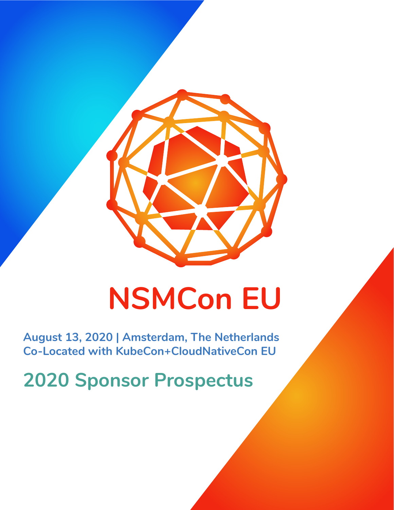

# **NSMCon EU**

**August 13, 2020 | Amsterdam, The Netherlands Co-Located with KubeCon+CloudNativeCon EU** 

**2020 Sponsor Prospectus**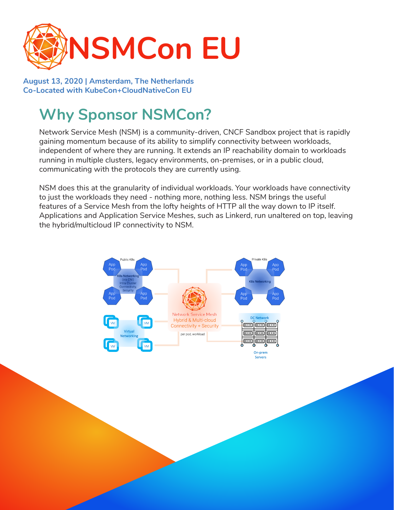

**August 13, 2020 | Amsterdam, The Netherlands Co-Located with KubeCon+CloudNativeCon EU** 

## **Why Sponsor NSMCon?**

Network Service Mesh (NSM) is a community-driven, CNCF Sandbox project that is rapidly gaining momentum because of its ability to simplify connectivity between workloads, independent of where they are running. It extends an IP reachability domain to workloads running in multiple clusters, legacy environments, on-premises, or in a public cloud, communicating with the protocols they are currently using.

NSM does this at the granularity of individual workloads. Your workloads have connectivity to just the workloads they need - nothing more, nothing less. NSM brings the useful features of a Service Mesh from the lofty heights of HTTP all the way down to IP itself. Applications and Application Service Meshes, such as Linkerd, run unaltered on top, leaving the hybrid/multicloud IP connectivity to NSM.